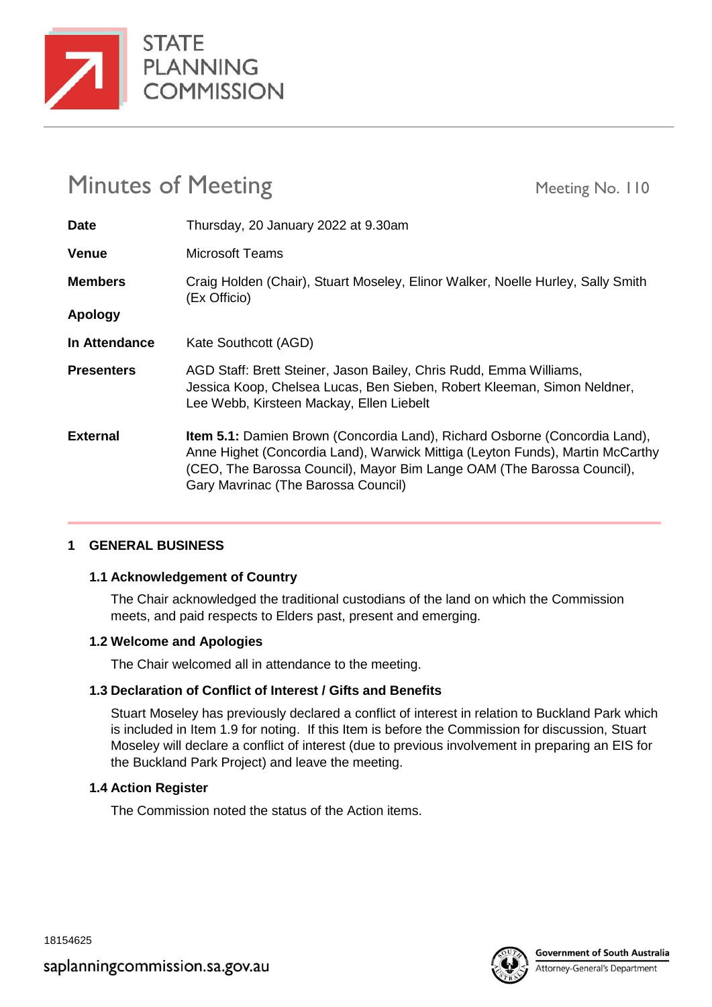

**STATE PLANNING COMMISSION** 

# Minutes of Meeting Meeting Meeting No. 110

| <b>Date</b>       | Thursday, 20 January 2022 at 9.30am                                                                                                                                                                                                                                                 |
|-------------------|-------------------------------------------------------------------------------------------------------------------------------------------------------------------------------------------------------------------------------------------------------------------------------------|
| <b>Venue</b>      | Microsoft Teams                                                                                                                                                                                                                                                                     |
| <b>Members</b>    | Craig Holden (Chair), Stuart Moseley, Elinor Walker, Noelle Hurley, Sally Smith<br>(Ex Officio)                                                                                                                                                                                     |
| <b>Apology</b>    |                                                                                                                                                                                                                                                                                     |
| In Attendance     | Kate Southcott (AGD)                                                                                                                                                                                                                                                                |
| <b>Presenters</b> | AGD Staff: Brett Steiner, Jason Bailey, Chris Rudd, Emma Williams,<br>Jessica Koop, Chelsea Lucas, Ben Sieben, Robert Kleeman, Simon Neldner,<br>Lee Webb, Kirsteen Mackay, Ellen Liebelt                                                                                           |
| <b>External</b>   | <b>Item 5.1:</b> Damien Brown (Concordia Land), Richard Osborne (Concordia Land),<br>Anne Highet (Concordia Land), Warwick Mittiga (Leyton Funds), Martin McCarthy<br>(CEO, The Barossa Council), Mayor Bim Lange OAM (The Barossa Council),<br>Gary Mavrinac (The Barossa Council) |

#### **1 GENERAL BUSINESS**

#### **1.1 Acknowledgement of Country**

The Chair acknowledged the traditional custodians of the land on which the Commission meets, and paid respects to Elders past, present and emerging.

#### **1.2 Welcome and Apologies**

The Chair welcomed all in attendance to the meeting.

#### **1.3 Declaration of Conflict of Interest / Gifts and Benefits**

Stuart Moseley has previously declared a conflict of interest in relation to Buckland Park which is included in Item 1.9 for noting. If this Item is before the Commission for discussion, Stuart Moseley will declare a conflict of interest (due to previous involvement in preparing an EIS for the Buckland Park Project) and leave the meeting.

#### **1.4 Action Register**

The Commission noted the status of the Action items.

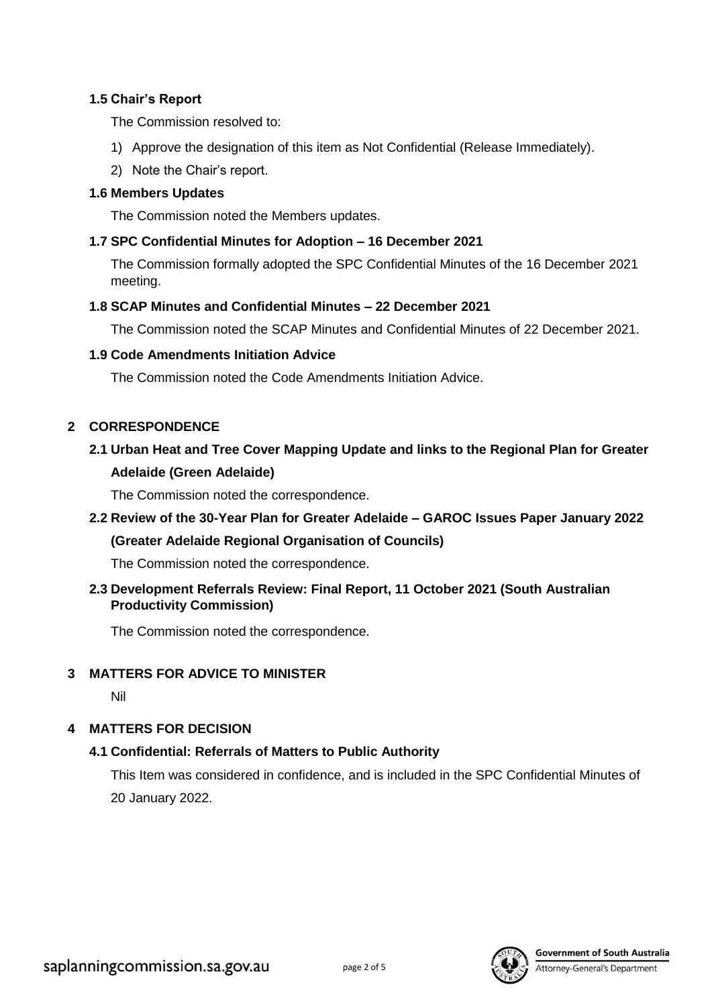#### **1.5 Chair's Report**

The Commission resolved to:

- 1) Approve the designation of this item as Not Confidential (Release Immediately).
- 2) Note the Chair's report.

#### **1.6 Members Updates**

The Commission noted the Members updates.

#### **1.7 SPC Confidential Minutes for Adoption – 16 December 2021**

The Commission formally adopted the SPC Confidential Minutes of the 16 December 2021 meeting.

#### **1.8 SCAP Minutes and Confidential Minutes – 22 December 2021**

The Commission noted the SCAP Minutes and Confidential Minutes of 22 December 2021.

#### **1.9 Code Amendments Initiation Advice**

The Commission noted the Code Amendments Initiation Advice.

#### **2 CORRESPONDENCE**

# **2.1 Urban Heat and Tree Cover Mapping Update and links to the Regional Plan for Greater Adelaide (Green Adelaide)**

The Commission noted the correspondence.

# **2.2 Review of the 30-Year Plan for Greater Adelaide – GAROC Issues Paper January 2022 (Greater Adelaide Regional Organisation of Councils)**

The Commission noted the correspondence.

## **2.3 Development Referrals Review: Final Report, 11 October 2021 (South Australian Productivity Commission)**

The Commission noted the correspondence.

#### **3 MATTERS FOR ADVICE TO MINISTER**

Nil

#### **4 MATTERS FOR DECISION**

#### **4.1 Confidential: Referrals of Matters to Public Authority**

This Item was considered in confidence, and is included in the SPC Confidential Minutes of 20 January 2022.



Attorney-General's Department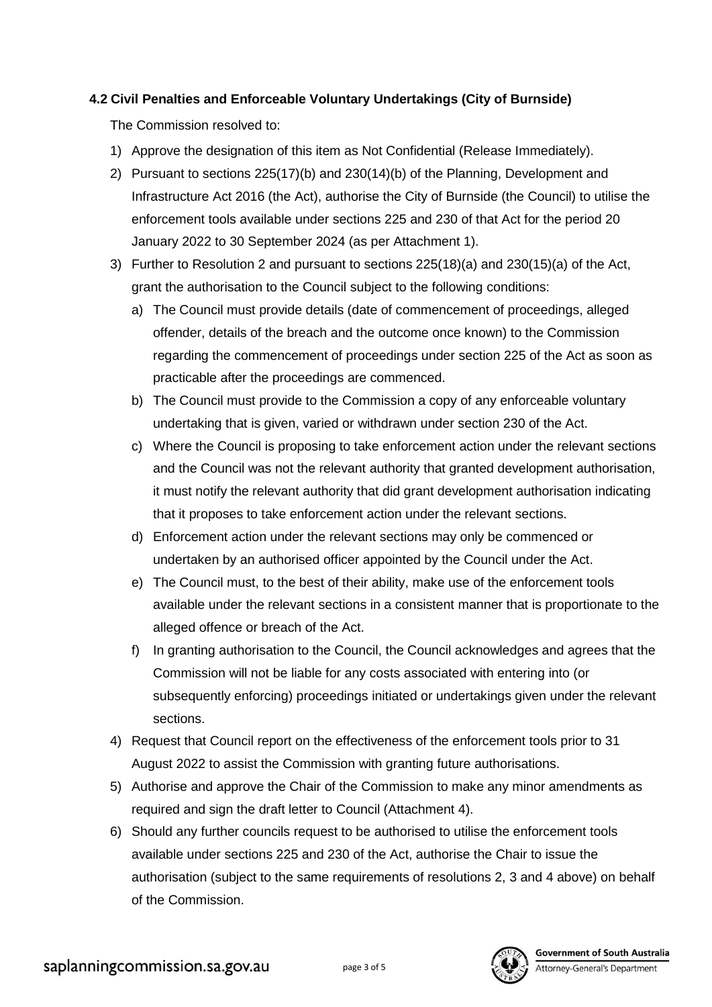#### **4.2 Civil Penalties and Enforceable Voluntary Undertakings (City of Burnside)**

The Commission resolved to:

- 1) Approve the designation of this item as Not Confidential (Release Immediately).
- 2) Pursuant to sections 225(17)(b) and 230(14)(b) of the Planning, Development and Infrastructure Act 2016 (the Act), authorise the City of Burnside (the Council) to utilise the enforcement tools available under sections 225 and 230 of that Act for the period 20 January 2022 to 30 September 2024 (as per Attachment 1).
- 3) Further to Resolution 2 and pursuant to sections 225(18)(a) and 230(15)(a) of the Act, grant the authorisation to the Council subject to the following conditions:
	- a) The Council must provide details (date of commencement of proceedings, alleged offender, details of the breach and the outcome once known) to the Commission regarding the commencement of proceedings under section 225 of the Act as soon as practicable after the proceedings are commenced.
	- b) The Council must provide to the Commission a copy of any enforceable voluntary undertaking that is given, varied or withdrawn under section 230 of the Act.
	- c) Where the Council is proposing to take enforcement action under the relevant sections and the Council was not the relevant authority that granted development authorisation, it must notify the relevant authority that did grant development authorisation indicating that it proposes to take enforcement action under the relevant sections.
	- d) Enforcement action under the relevant sections may only be commenced or undertaken by an authorised officer appointed by the Council under the Act.
	- e) The Council must, to the best of their ability, make use of the enforcement tools available under the relevant sections in a consistent manner that is proportionate to the alleged offence or breach of the Act.
	- f) In granting authorisation to the Council, the Council acknowledges and agrees that the Commission will not be liable for any costs associated with entering into (or subsequently enforcing) proceedings initiated or undertakings given under the relevant sections.
- 4) Request that Council report on the effectiveness of the enforcement tools prior to 31 August 2022 to assist the Commission with granting future authorisations.
- 5) Authorise and approve the Chair of the Commission to make any minor amendments as required and sign the draft letter to Council (Attachment 4).
- 6) Should any further councils request to be authorised to utilise the enforcement tools available under sections 225 and 230 of the Act, authorise the Chair to issue the authorisation (subject to the same requirements of resolutions 2, 3 and 4 above) on behalf of the Commission.

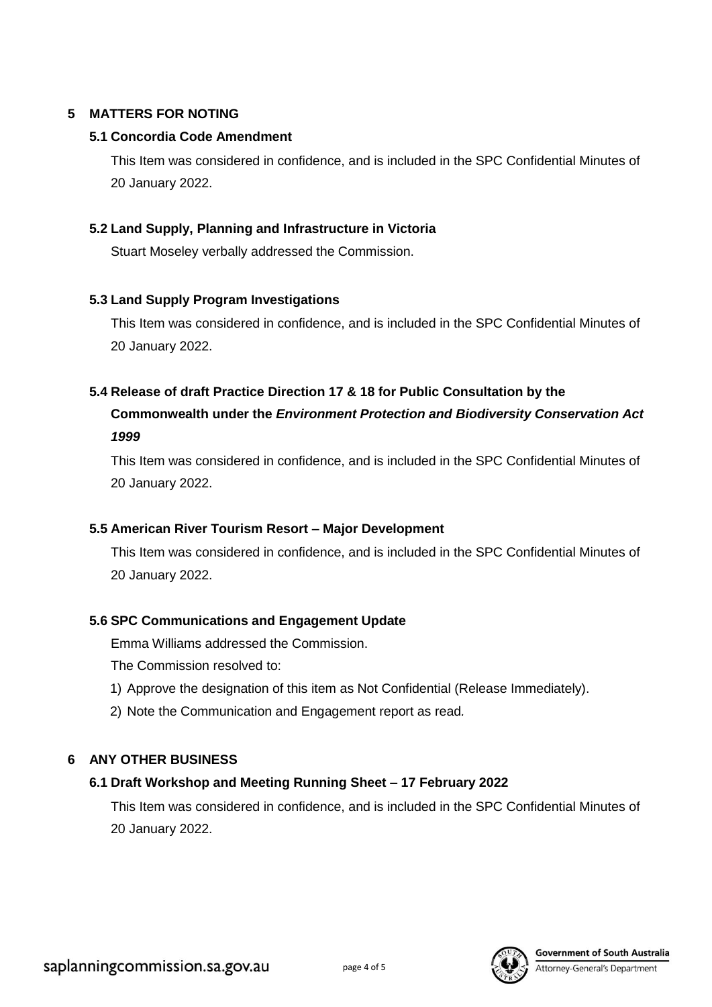## **5 MATTERS FOR NOTING**

#### **5.1 Concordia Code Amendment**

This Item was considered in confidence, and is included in the SPC Confidential Minutes of 20 January 2022.

#### **5.2 Land Supply, Planning and Infrastructure in Victoria**

Stuart Moseley verbally addressed the Commission.

# **5.3 Land Supply Program Investigations**

This Item was considered in confidence, and is included in the SPC Confidential Minutes of 20 January 2022.

# **5.4 Release of draft Practice Direction 17 & 18 for Public Consultation by the**

# **Commonwealth under the** *Environment Protection and Biodiversity Conservation Act 1999*

This Item was considered in confidence, and is included in the SPC Confidential Minutes of 20 January 2022.

# **5.5 American River Tourism Resort – Major Development**

This Item was considered in confidence, and is included in the SPC Confidential Minutes of 20 January 2022.

# **5.6 SPC Communications and Engagement Update**

Emma Williams addressed the Commission.

The Commission resolved to:

- 1) Approve the designation of this item as Not Confidential (Release Immediately).
- 2) Note the Communication and Engagement report as read*.*

# **6 ANY OTHER BUSINESS**

# **6.1 Draft Workshop and Meeting Running Sheet – 17 February 2022**

This Item was considered in confidence, and is included in the SPC Confidential Minutes of 20 January 2022.